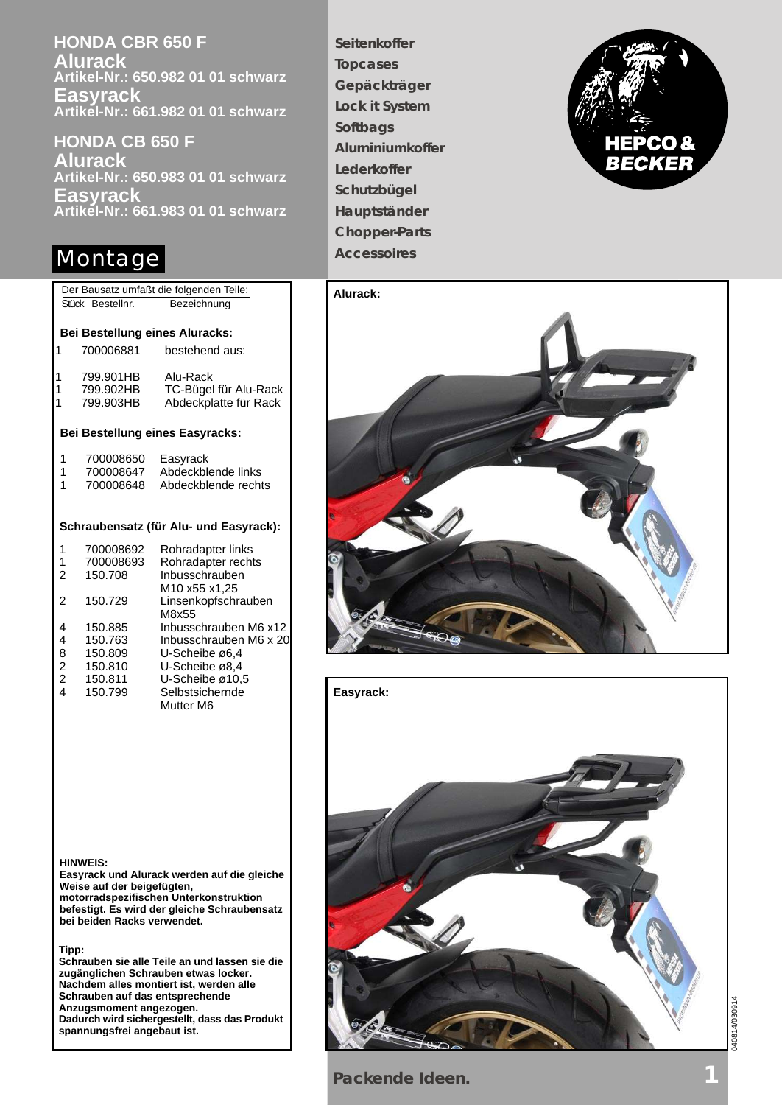**HONDA CBR 650 F Alurack Artikel-Nr.: 650.982 01 01 schwarz Easyrack Artikel-Nr.: 661.982 01 01 schwarz**

**HONDA CB 650 F Alurack Artikel-Nr.: 650.983 01 01 schwarz Easyrack Artikel-Nr.: 661.983 01 01 schwarz**

# Montage **Accessoires**

1 700008650 Easyrack 1 700008647 Abdeckblende links 1 700008648 Abdeckblende rechts Der Bausatz umfaßt die folgenden Teile: Stück Bestellnr. Bezeichnung 1 700008692 Rohradapter links<br>1 700008693 Rohradapter recht 1 700008693 Rohradapter rechts<br>2 150.708 Inbusschrauben Inbusschrauben M10 x55 x1,25 2 150.729 Linsenkopfschrauben M8x55 4 150.885 Inbusschrauben M6 x12 4 150.763 Inbusschrauben M6 x 20 U-Scheibe ø6.4 2 150.810 U-Scheibe ø8,4<br>2 150.811 U-Scheibe ø10, 2 150.811 U-Scheibe ø10,5<br>4 150.799 Selbstsichernde Selbstsichernde Mutter M6 **Bei Bestellung eines Aluracks: Bei Bestellung eines Easyracks: Schraubensatz (für Alu- und Easyrack):** 1 700006881 bestehend aus: 1 799.901HB Alu-Rack 799.902HB TC-Bügel für Alu-Rack<br>799.903HB Abdeckplatte für Rack 1 799.903HB Abdeckplatte für Rack

**Seitenkoffer Topcases Gepäckträger Lock it System Softbags Aluminiumkoffer Lederkoffer Schutzbügel Hauptständer Chopper-Parts**







**HINWEIS:**

**Easyrack und Alurack werden auf die gleiche Weise auf der beigefügten, motorradspezifischen Unterkonstruktion befestigt. Es wird der gleiche Schraubensatz bei beiden Racks verwendet.**

**Tipp:**

**Schrauben sie alle Teile an und lassen sie die zugänglichen Schrauben etwas locker. Nachdem alles montiert ist, werden alle Schrauben auf das entsprechende Anzugsmoment angezogen. Dadurch wird sichergestellt, dass das Produkt spannungsfrei angebaut ist.**

**Packende Ideen.**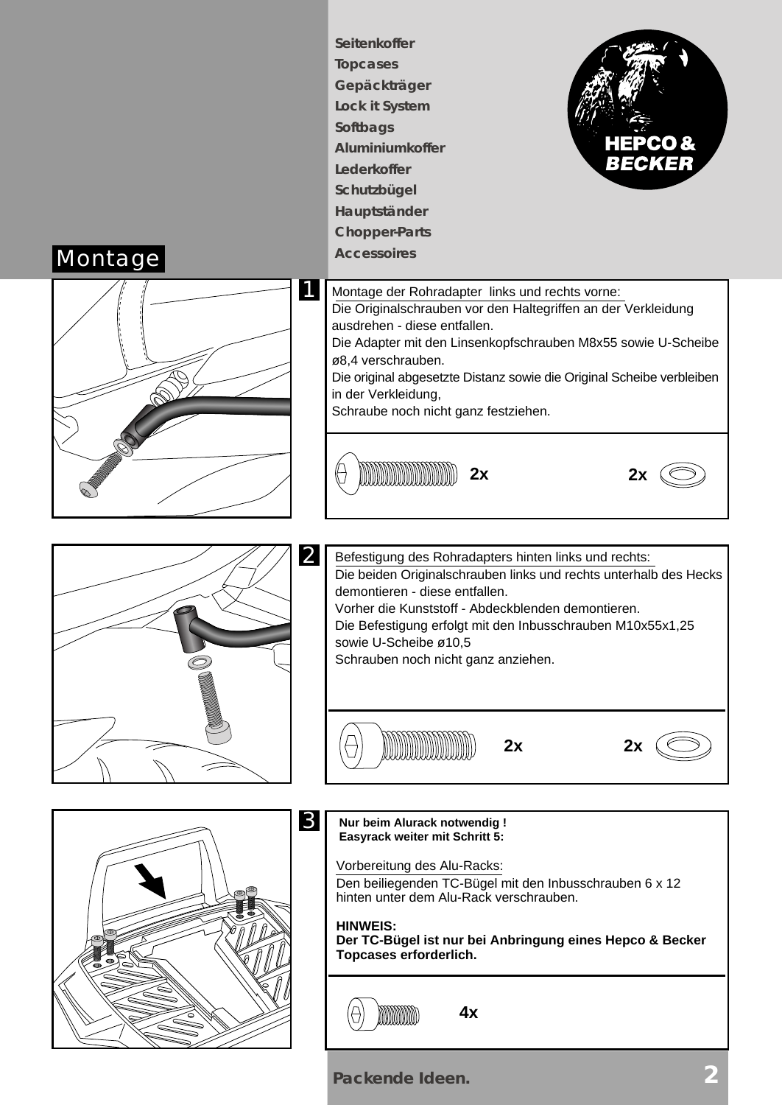

**Packende Ideen. 2**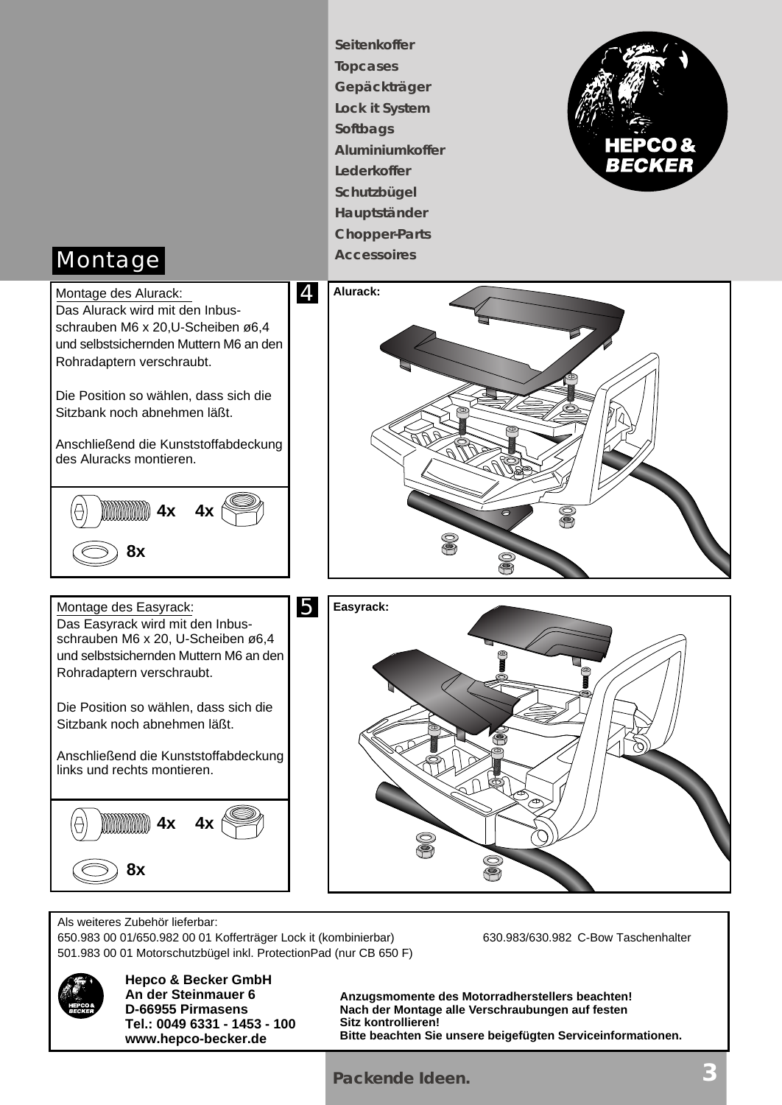**Seitenkoffer Topcases Gepäckträger Lock it System Softbags Aluminiumkoffer Lederkoffer Schutzbügel Hauptständer Chopper-Parts**



# Montage **Accessoires**



Als weiteres Zubehör lieferbar: 650.983 00 01/650.982 00 01 Kofferträger Lock it (kombinierbar) 630.983/630.982 C-Bow Taschenhalter 501.983 00 01 Motorschutzbügel inkl. ProtectionPad (nur CB 650 F)



**Hepco & Becker GmbH An der Steinmauer 6 D-66955 Pirmasens Tel.: 0049 6331 - 1453 - 100 www.hepco-becker.de**

**Anzugsmomente des Motorradherstellers beachten! Nach der Montage alle Verschraubungen auf festen Sitz kontrollieren! Bitte beachten Sie unsere beigefügten Serviceinformationen.**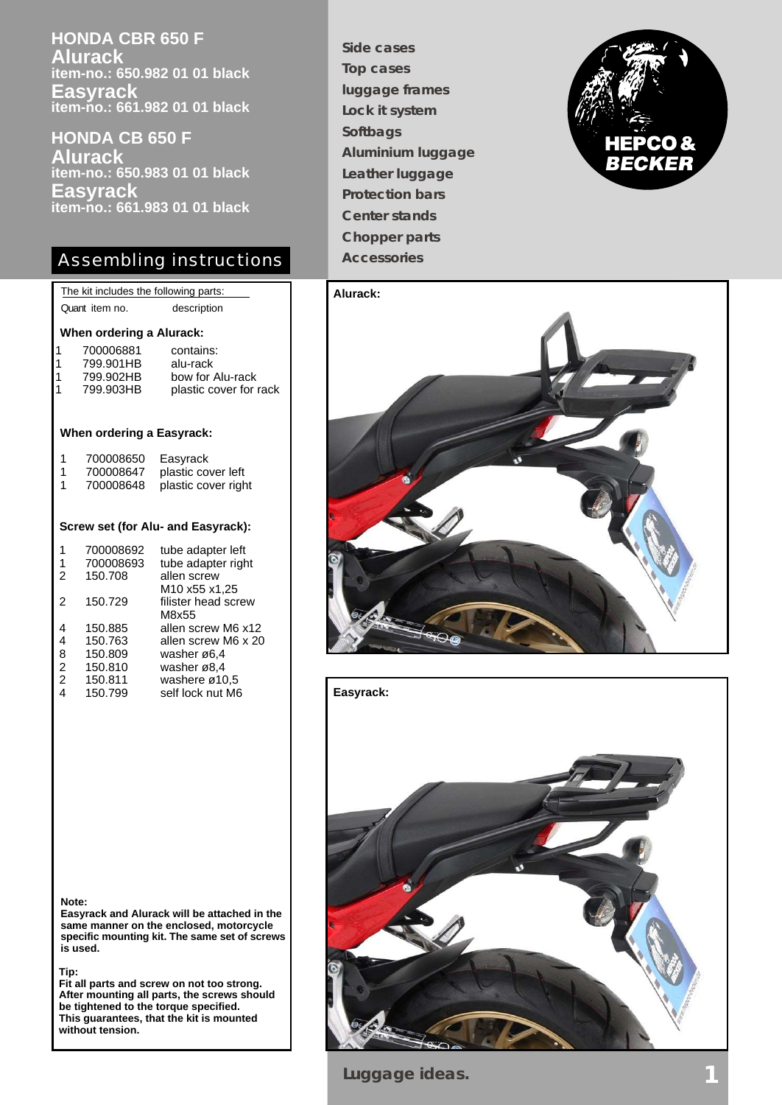**HONDA CBR 650 F Alurack item-no.: 650.982 01 01 black Easyrack item-no.: 661.982 01 01 black**

**HONDA CB 650 F Alurack item-no.: 650.983 01 01 black Easyrack item-no.: 661.983 01 01 black**

## Assembling instructions

|                                    | The kit includes the following parts: |                        |
|------------------------------------|---------------------------------------|------------------------|
|                                    | Quant item no.                        | description            |
|                                    |                                       |                        |
| When ordering a Alurack:           |                                       |                        |
| 1                                  | 700006881                             | contains:              |
| 1                                  | 799.901HB                             | alu-rack               |
| 1                                  | 799.902HB                             | bow for Alu-rack       |
| 1                                  | 799.903HB                             | plastic cover for rack |
|                                    |                                       |                        |
|                                    |                                       |                        |
| When ordering a Easyrack:          |                                       |                        |
| 1                                  | 700008650                             | Easyrack               |
| 1                                  | 700008647                             | plastic cover left     |
| 1                                  | 700008648                             | plastic cover right    |
|                                    |                                       |                        |
|                                    |                                       |                        |
| Screw set (for Alu- and Easyrack): |                                       |                        |
| 1                                  | 700008692                             | tube adapter left      |
| 1                                  | 700008693                             | tube adapter right     |
| 2                                  | 150.708                               | allen screw            |
|                                    |                                       | M10 x55 x1,25          |
| $\mathfrak{p}$                     | 150.729                               | filister head screw    |
|                                    |                                       | M8x55                  |
| 4                                  | 150.885                               | allen screw M6 x12     |
| 4                                  | 150.763                               | allen screw M6 x 20    |
| 8                                  | 150.809                               | washer ø6,4            |

8 150.809 washer ø6,4<br>
2 150.810 washer ø8,4<br>
2 150.811 washere ø10<br>
4 150.799 self lock nut

150.811 washere ø10,5<br>150.799 self lock nut M6

washer ø8.4

self lock nut M6

**Side cases Top cases luggage frames Lock it system Softbags Aluminium luggage Leather luggage Protection bars Center stands Chopper parts Accessories**







**Note:**

**Easyrack and Alurack will be attached in the same manner on the enclosed, motorcycle specific mounting kit. The same set of screws is used.**

**Tip:**

**Fit all parts and screw on not too strong. After mounting all parts, the screws should be tightened to the torque specified. This guarantees, that the kit is mounted without tension.**

**Luggage ideas.**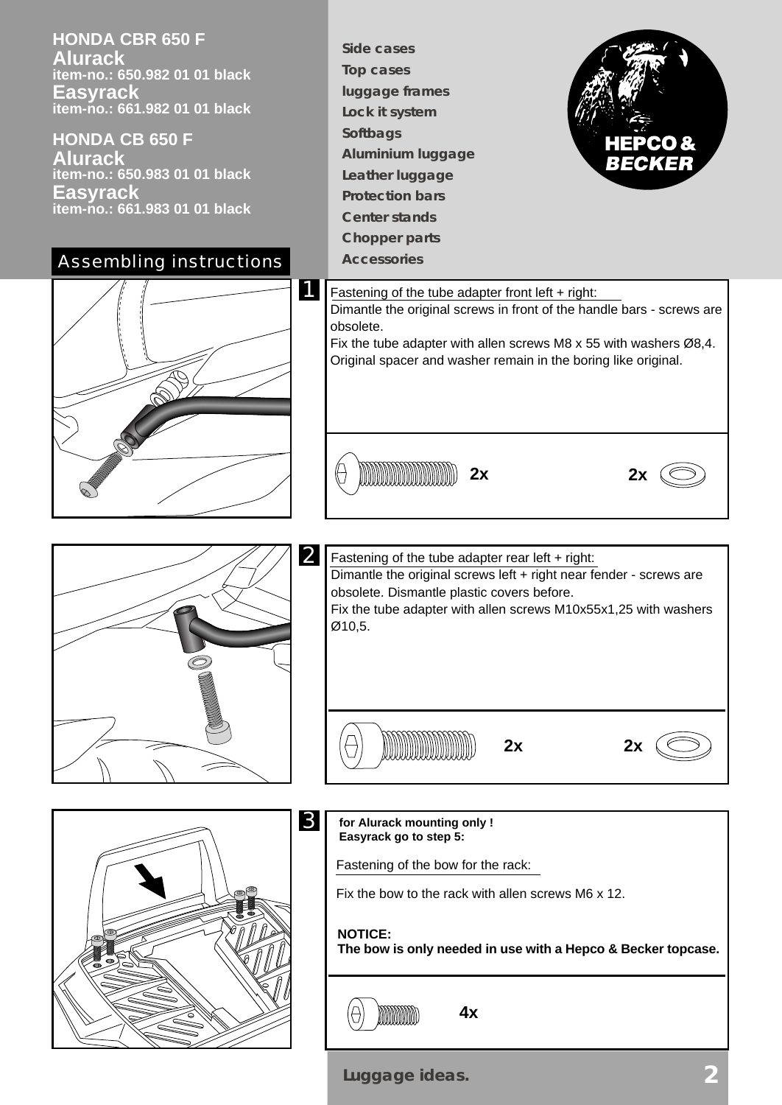**HONDA CBR 650 F Alurack item-no.: 650.982 01 01 black Easyrack item-no.: 661.982 01 01 black**

**HONDA CB 650 F Alurack item-no.: 650.983 01 01 black Easyrack item-no.: 661.983 01 01 black**



**Side cases Top cases luggage frames Lock it system Softbags Aluminium luggage Leather luggage Protection bars Center stands Chopper parts**











**for Alurack mounting only ! Easyrack go to step 5:**

Fastening of the bow for the rack:

Fix the bow to the rack with allen screws M6 x 12.

**4x**

### **NOTICE:**

A

**The bow is only needed in use with a Hepco & Becker topcase.**

MMMM

**Luggage ideas.**